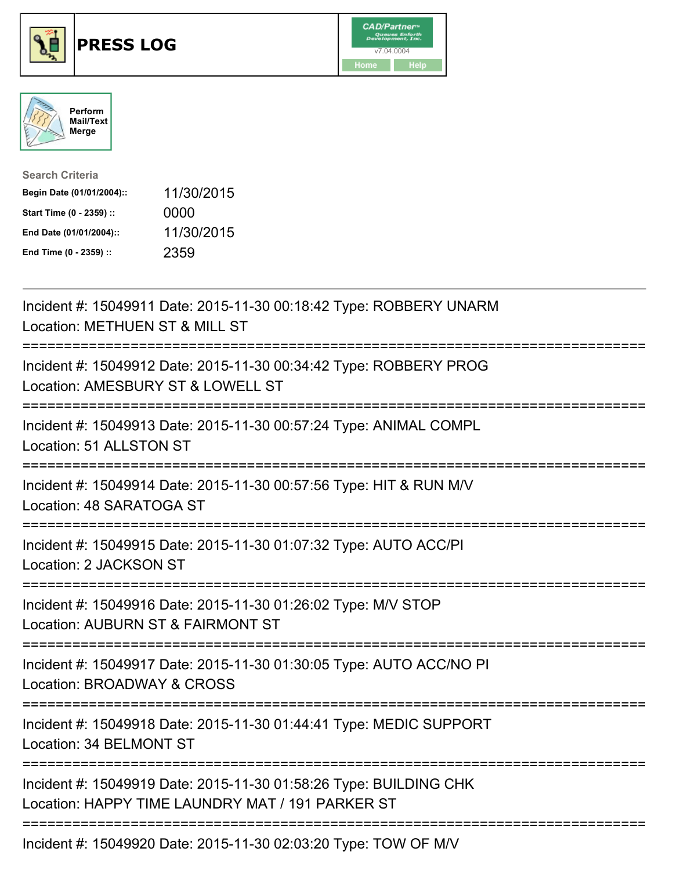





| <b>Search Criteria</b>    |            |
|---------------------------|------------|
| Begin Date (01/01/2004):: | 11/30/2015 |
| Start Time (0 - 2359) ::  | 0000       |
| End Date (01/01/2004)::   | 11/30/2015 |
| End Time (0 - 2359) ::    | 2359       |

| Incident #: 15049911 Date: 2015-11-30 00:18:42 Type: ROBBERY UNARM<br>Location: METHUEN ST & MILL ST                  |
|-----------------------------------------------------------------------------------------------------------------------|
| Incident #: 15049912 Date: 2015-11-30 00:34:42 Type: ROBBERY PROG<br>Location: AMESBURY ST & LOWELL ST                |
| Incident #: 15049913 Date: 2015-11-30 00:57:24 Type: ANIMAL COMPL<br>Location: 51 ALLSTON ST                          |
| Incident #: 15049914 Date: 2015-11-30 00:57:56 Type: HIT & RUN M/V<br>Location: 48 SARATOGA ST                        |
| Incident #: 15049915 Date: 2015-11-30 01:07:32 Type: AUTO ACC/PI<br>Location: 2 JACKSON ST                            |
| Incident #: 15049916 Date: 2015-11-30 01:26:02 Type: M/V STOP<br>Location: AUBURN ST & FAIRMONT ST<br>===========     |
| Incident #: 15049917 Date: 2015-11-30 01:30:05 Type: AUTO ACC/NO PI<br>Location: BROADWAY & CROSS                     |
| Incident #: 15049918 Date: 2015-11-30 01:44:41 Type: MEDIC SUPPORT<br>Location: 34 BELMONT ST                         |
| Incident #: 15049919 Date: 2015-11-30 01:58:26 Type: BUILDING CHK<br>Location: HAPPY TIME LAUNDRY MAT / 191 PARKER ST |
| Incident #: 15049920 Date: 2015-11-30 02:03:20 Type: TOW OF M/V                                                       |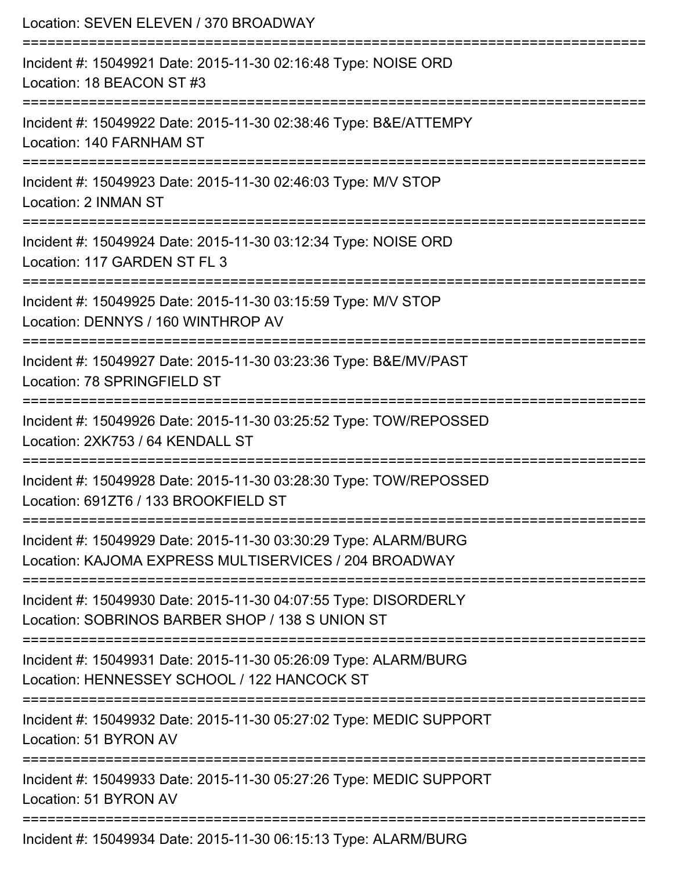| Location: SEVEN ELEVEN / 370 BROADWAY<br>==================<br>===========================                               |
|--------------------------------------------------------------------------------------------------------------------------|
| Incident #: 15049921 Date: 2015-11-30 02:16:48 Type: NOISE ORD<br>Location: 18 BEACON ST #3                              |
| Incident #: 15049922 Date: 2015-11-30 02:38:46 Type: B&E/ATTEMPY<br>Location: 140 FARNHAM ST                             |
| Incident #: 15049923 Date: 2015-11-30 02:46:03 Type: M/V STOP<br>Location: 2 INMAN ST                                    |
| Incident #: 15049924 Date: 2015-11-30 03:12:34 Type: NOISE ORD<br>Location: 117 GARDEN ST FL 3                           |
| Incident #: 15049925 Date: 2015-11-30 03:15:59 Type: M/V STOP<br>Location: DENNYS / 160 WINTHROP AV                      |
| :===================<br>Incident #: 15049927 Date: 2015-11-30 03:23:36 Type: B&E/MV/PAST<br>Location: 78 SPRINGFIELD ST  |
| Incident #: 15049926 Date: 2015-11-30 03:25:52 Type: TOW/REPOSSED<br>Location: 2XK753 / 64 KENDALL ST                    |
| Incident #: 15049928 Date: 2015-11-30 03:28:30 Type: TOW/REPOSSED<br>Location: 691ZT6 / 133 BROOKFIELD ST                |
| Incident #: 15049929 Date: 2015-11-30 03:30:29 Type: ALARM/BURG<br>Location: KAJOMA EXPRESS MULTISERVICES / 204 BROADWAY |
| Incident #: 15049930 Date: 2015-11-30 04:07:55 Type: DISORDERLY<br>Location: SOBRINOS BARBER SHOP / 138 S UNION ST       |
| Incident #: 15049931 Date: 2015-11-30 05:26:09 Type: ALARM/BURG<br>Location: HENNESSEY SCHOOL / 122 HANCOCK ST           |
| Incident #: 15049932 Date: 2015-11-30 05:27:02 Type: MEDIC SUPPORT<br>Location: 51 BYRON AV                              |
| Incident #: 15049933 Date: 2015-11-30 05:27:26 Type: MEDIC SUPPORT<br>Location: 51 BYRON AV                              |
| Incident #: 15049934 Date: 2015-11-30 06:15:13 Type: ALARM/BURG                                                          |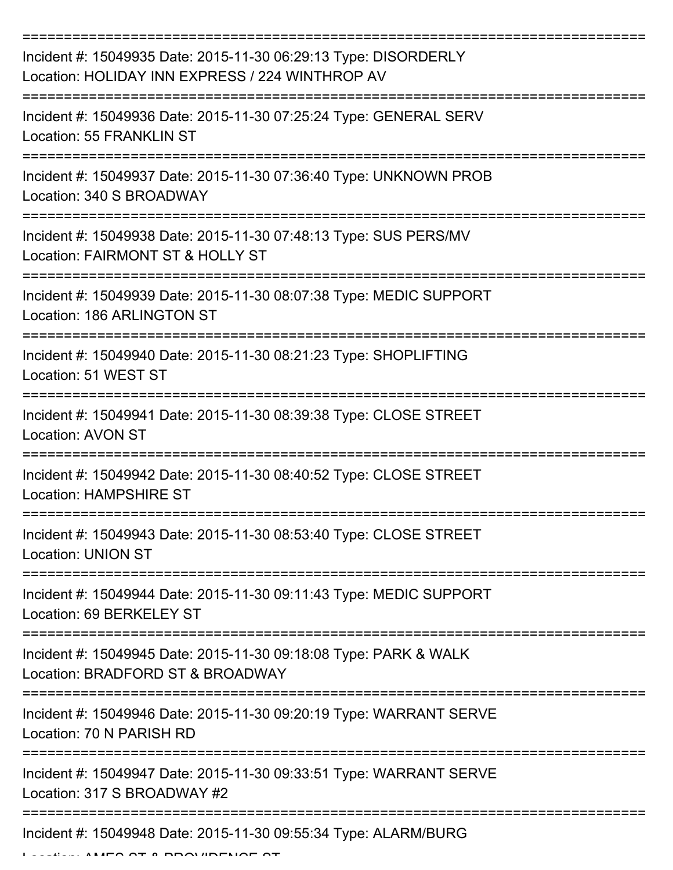| Incident #: 15049935 Date: 2015-11-30 06:29:13 Type: DISORDERLY<br>Location: HOLIDAY INN EXPRESS / 224 WINTHROP AV |
|--------------------------------------------------------------------------------------------------------------------|
| Incident #: 15049936 Date: 2015-11-30 07:25:24 Type: GENERAL SERV<br>Location: 55 FRANKLIN ST                      |
| Incident #: 15049937 Date: 2015-11-30 07:36:40 Type: UNKNOWN PROB<br>Location: 340 S BROADWAY                      |
| Incident #: 15049938 Date: 2015-11-30 07:48:13 Type: SUS PERS/MV<br>Location: FAIRMONT ST & HOLLY ST               |
| Incident #: 15049939 Date: 2015-11-30 08:07:38 Type: MEDIC SUPPORT<br>Location: 186 ARLINGTON ST                   |
| Incident #: 15049940 Date: 2015-11-30 08:21:23 Type: SHOPLIFTING<br>Location: 51 WEST ST                           |
| Incident #: 15049941 Date: 2015-11-30 08:39:38 Type: CLOSE STREET<br><b>Location: AVON ST</b>                      |
| Incident #: 15049942 Date: 2015-11-30 08:40:52 Type: CLOSE STREET<br><b>Location: HAMPSHIRE ST</b>                 |
| Incident #: 15049943 Date: 2015-11-30 08:53:40 Type: CLOSE STREET<br><b>Location: UNION ST</b>                     |
| Incident #: 15049944 Date: 2015-11-30 09:11:43 Type: MEDIC SUPPORT<br>Location: 69 BERKELEY ST                     |
| Incident #: 15049945 Date: 2015-11-30 09:18:08 Type: PARK & WALK<br>Location: BRADFORD ST & BROADWAY               |
| Incident #: 15049946 Date: 2015-11-30 09:20:19 Type: WARRANT SERVE<br>Location: 70 N PARISH RD                     |
| Incident #: 15049947 Date: 2015-11-30 09:33:51 Type: WARRANT SERVE<br>Location: 317 S BROADWAY #2                  |
| Incident #: 15049948 Date: 2015-11-30 09:55:34 Type: ALARM/BURG                                                    |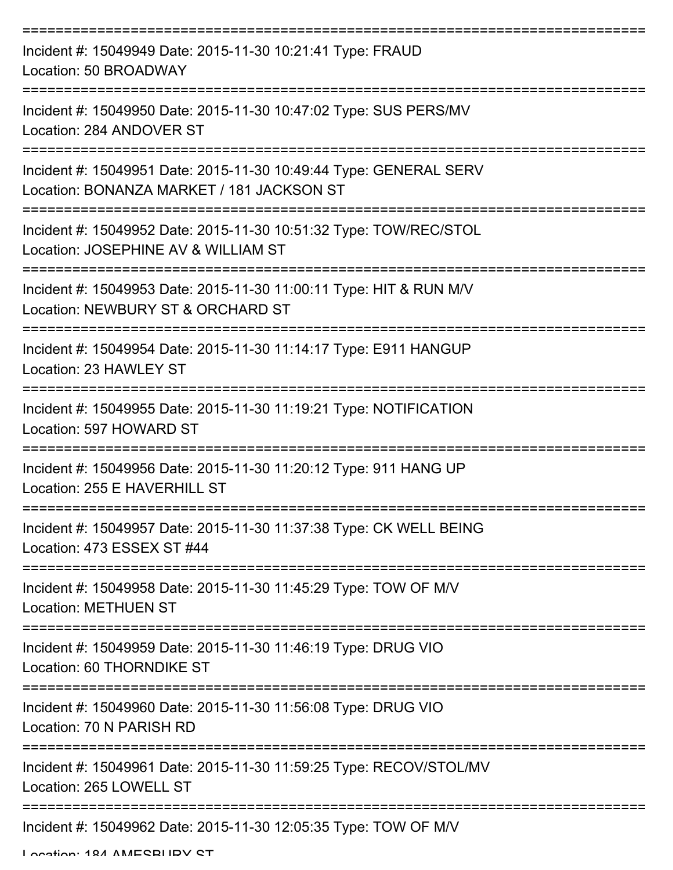| Incident #: 15049949 Date: 2015-11-30 10:21:41 Type: FRAUD<br>Location: 50 BROADWAY                            |
|----------------------------------------------------------------------------------------------------------------|
| Incident #: 15049950 Date: 2015-11-30 10:47:02 Type: SUS PERS/MV<br>Location: 284 ANDOVER ST                   |
| Incident #: 15049951 Date: 2015-11-30 10:49:44 Type: GENERAL SERV<br>Location: BONANZA MARKET / 181 JACKSON ST |
| Incident #: 15049952 Date: 2015-11-30 10:51:32 Type: TOW/REC/STOL<br>Location: JOSEPHINE AV & WILLIAM ST       |
| Incident #: 15049953 Date: 2015-11-30 11:00:11 Type: HIT & RUN M/V<br>Location: NEWBURY ST & ORCHARD ST        |
| Incident #: 15049954 Date: 2015-11-30 11:14:17 Type: E911 HANGUP<br>Location: 23 HAWLEY ST                     |
| Incident #: 15049955 Date: 2015-11-30 11:19:21 Type: NOTIFICATION<br>Location: 597 HOWARD ST                   |
| Incident #: 15049956 Date: 2015-11-30 11:20:12 Type: 911 HANG UP<br>Location: 255 E HAVERHILL ST               |
| Incident #: 15049957 Date: 2015-11-30 11:37:38 Type: CK WELL BEING<br>Location: 473 ESSEX ST #44               |
| Incident #: 15049958 Date: 2015-11-30 11:45:29 Type: TOW OF M/V<br><b>Location: METHUEN ST</b>                 |
| Incident #: 15049959 Date: 2015-11-30 11:46:19 Type: DRUG VIO<br>Location: 60 THORNDIKE ST                     |
| Incident #: 15049960 Date: 2015-11-30 11:56:08 Type: DRUG VIO<br>Location: 70 N PARISH RD                      |
| Incident #: 15049961 Date: 2015-11-30 11:59:25 Type: RECOV/STOL/MV<br>Location: 265 LOWELL ST                  |
| Incident #: 15049962 Date: 2015-11-30 12:05:35 Type: TOW OF M/V                                                |

Location: 194 AMESBURY ST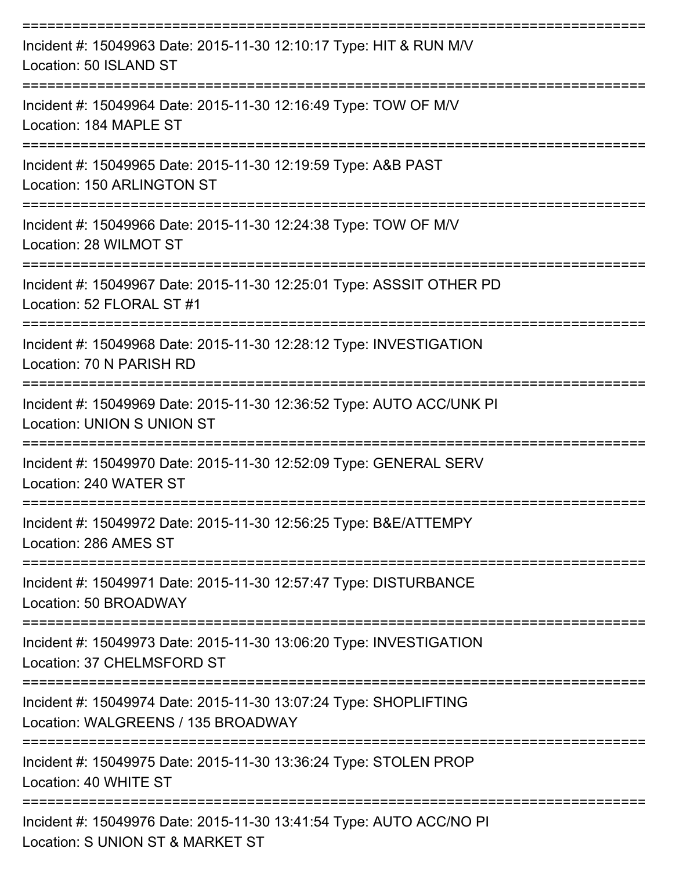| Incident #: 15049963 Date: 2015-11-30 12:10:17 Type: HIT & RUN M/V<br>Location: 50 ISLAND ST              |
|-----------------------------------------------------------------------------------------------------------|
| Incident #: 15049964 Date: 2015-11-30 12:16:49 Type: TOW OF M/V<br>Location: 184 MAPLE ST                 |
| Incident #: 15049965 Date: 2015-11-30 12:19:59 Type: A&B PAST<br>Location: 150 ARLINGTON ST               |
| Incident #: 15049966 Date: 2015-11-30 12:24:38 Type: TOW OF M/V<br>Location: 28 WILMOT ST                 |
| Incident #: 15049967 Date: 2015-11-30 12:25:01 Type: ASSSIT OTHER PD<br>Location: 52 FLORAL ST #1         |
| Incident #: 15049968 Date: 2015-11-30 12:28:12 Type: INVESTIGATION<br>Location: 70 N PARISH RD            |
| Incident #: 15049969 Date: 2015-11-30 12:36:52 Type: AUTO ACC/UNK PI<br><b>Location: UNION S UNION ST</b> |
| Incident #: 15049970 Date: 2015-11-30 12:52:09 Type: GENERAL SERV<br>Location: 240 WATER ST               |
| Incident #: 15049972 Date: 2015-11-30 12:56:25 Type: B&E/ATTEMPY<br>Location: 286 AMES ST                 |
| Incident #: 15049971 Date: 2015-11-30 12:57:47 Type: DISTURBANCE<br>Location: 50 BROADWAY                 |
| Incident #: 15049973 Date: 2015-11-30 13:06:20 Type: INVESTIGATION<br>Location: 37 CHELMSFORD ST          |
| Incident #: 15049974 Date: 2015-11-30 13:07:24 Type: SHOPLIFTING<br>Location: WALGREENS / 135 BROADWAY    |
| Incident #: 15049975 Date: 2015-11-30 13:36:24 Type: STOLEN PROP<br>Location: 40 WHITE ST                 |
| Incident #: 15049976 Date: 2015-11-30 13:41:54 Type: AUTO ACC/NO PI<br>Location: S UNION ST & MARKET ST   |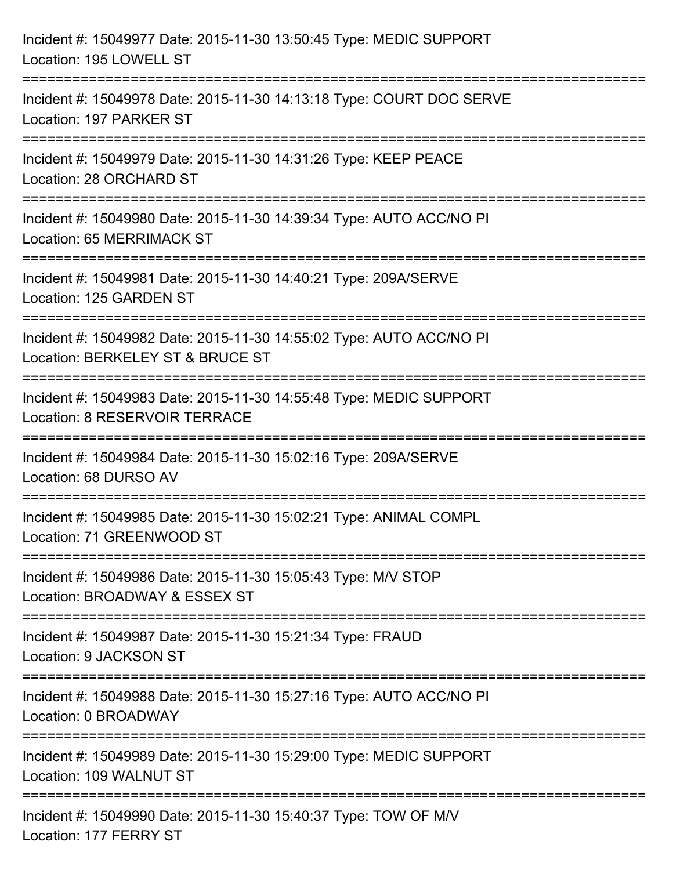| Incident #: 15049977 Date: 2015-11-30 13:50:45 Type: MEDIC SUPPORT<br>Location: 195 LOWELL ST                                           |
|-----------------------------------------------------------------------------------------------------------------------------------------|
| ====================================<br>Incident #: 15049978 Date: 2015-11-30 14:13:18 Type: COURT DOC SERVE<br>Location: 197 PARKER ST |
| Incident #: 15049979 Date: 2015-11-30 14:31:26 Type: KEEP PEACE<br>Location: 28 ORCHARD ST                                              |
| Incident #: 15049980 Date: 2015-11-30 14:39:34 Type: AUTO ACC/NO PI<br><b>Location: 65 MERRIMACK ST</b>                                 |
| Incident #: 15049981 Date: 2015-11-30 14:40:21 Type: 209A/SERVE<br>Location: 125 GARDEN ST                                              |
| Incident #: 15049982 Date: 2015-11-30 14:55:02 Type: AUTO ACC/NO PI<br>Location: BERKELEY ST & BRUCE ST                                 |
| Incident #: 15049983 Date: 2015-11-30 14:55:48 Type: MEDIC SUPPORT<br><b>Location: 8 RESERVOIR TERRACE</b>                              |
| Incident #: 15049984 Date: 2015-11-30 15:02:16 Type: 209A/SERVE<br>Location: 68 DURSO AV                                                |
| Incident #: 15049985 Date: 2015-11-30 15:02:21 Type: ANIMAL COMPL<br>Location: 71 GREENWOOD ST                                          |
| Incident #: 15049986 Date: 2015-11-30 15:05:43 Type: M/V STOP<br>Location: BROADWAY & ESSEX ST                                          |
| Incident #: 15049987 Date: 2015-11-30 15:21:34 Type: FRAUD<br>Location: 9 JACKSON ST                                                    |
| Incident #: 15049988 Date: 2015-11-30 15:27:16 Type: AUTO ACC/NO PI<br>Location: 0 BROADWAY                                             |
| Incident #: 15049989 Date: 2015-11-30 15:29:00 Type: MEDIC SUPPORT<br>Location: 109 WALNUT ST                                           |
| Incident #: 15049990 Date: 2015-11-30 15:40:37 Type: TOW OF M/V<br>Location: 177 FERRY ST                                               |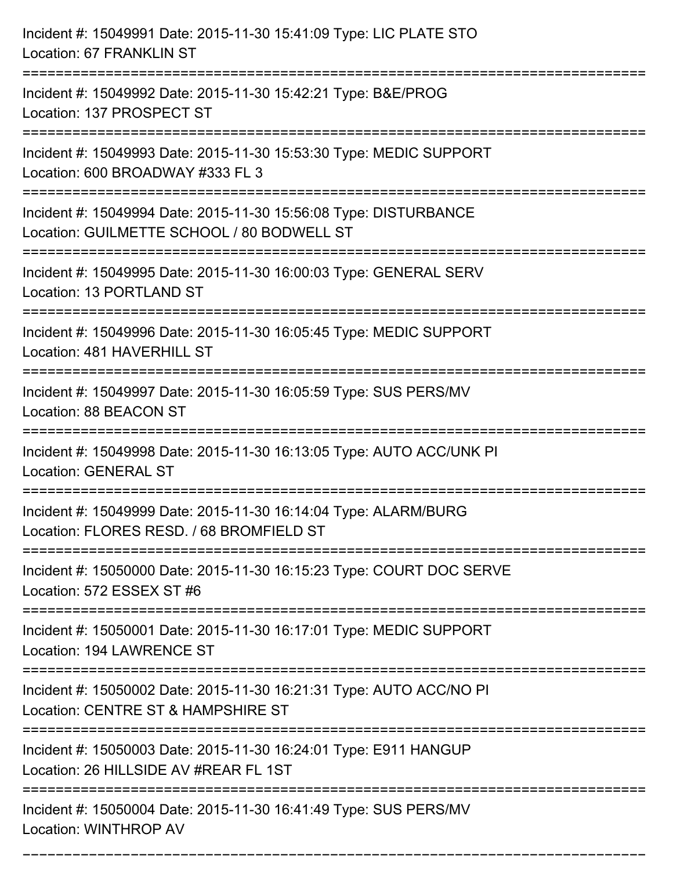| Incident #: 15049991 Date: 2015-11-30 15:41:09 Type: LIC PLATE STO<br>Location: 67 FRANKLIN ST                                     |
|------------------------------------------------------------------------------------------------------------------------------------|
| Incident #: 15049992 Date: 2015-11-30 15:42:21 Type: B&E/PROG<br>Location: 137 PROSPECT ST                                         |
| Incident #: 15049993 Date: 2015-11-30 15:53:30 Type: MEDIC SUPPORT<br>Location: 600 BROADWAY #333 FL 3<br>-----------------        |
| Incident #: 15049994 Date: 2015-11-30 15:56:08 Type: DISTURBANCE<br>Location: GUILMETTE SCHOOL / 80 BODWELL ST<br>================ |
| Incident #: 15049995 Date: 2015-11-30 16:00:03 Type: GENERAL SERV<br>Location: 13 PORTLAND ST<br>==============================    |
| Incident #: 15049996 Date: 2015-11-30 16:05:45 Type: MEDIC SUPPORT<br>Location: 481 HAVERHILL ST                                   |
| Incident #: 15049997 Date: 2015-11-30 16:05:59 Type: SUS PERS/MV<br>Location: 88 BEACON ST                                         |
| Incident #: 15049998 Date: 2015-11-30 16:13:05 Type: AUTO ACC/UNK PI<br><b>Location: GENERAL ST</b>                                |
| Incident #: 15049999 Date: 2015-11-30 16:14:04 Type: ALARM/BURG<br>Location: FLORES RESD. / 68 BROMFIELD ST                        |
| Incident #: 15050000 Date: 2015-11-30 16:15:23 Type: COURT DOC SERVE<br>Location: 572 ESSEX ST #6                                  |
| Incident #: 15050001 Date: 2015-11-30 16:17:01 Type: MEDIC SUPPORT<br>Location: 194 LAWRENCE ST                                    |
| Incident #: 15050002 Date: 2015-11-30 16:21:31 Type: AUTO ACC/NO PI<br>Location: CENTRE ST & HAMPSHIRE ST                          |
| Incident #: 15050003 Date: 2015-11-30 16:24:01 Type: E911 HANGUP<br>Location: 26 HILLSIDE AV #REAR FL 1ST                          |
| Incident #: 15050004 Date: 2015-11-30 16:41:49 Type: SUS PERS/MV<br>Location: WINTHROP AV                                          |

===========================================================================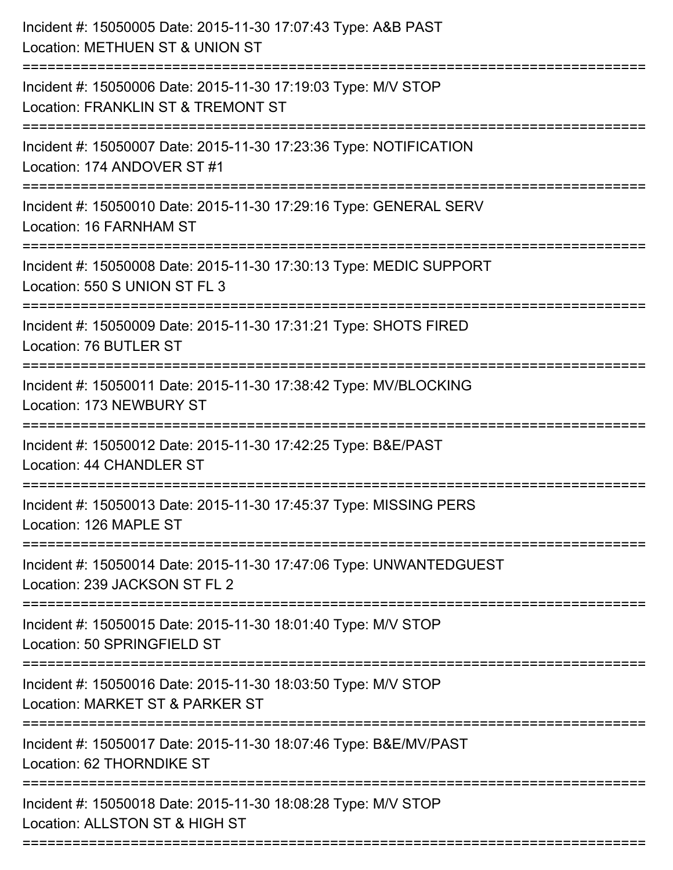| Incident #: 15050005 Date: 2015-11-30 17:07:43 Type: A&B PAST<br>Location: METHUEN ST & UNION ST                                   |
|------------------------------------------------------------------------------------------------------------------------------------|
| Incident #: 15050006 Date: 2015-11-30 17:19:03 Type: M/V STOP<br>Location: FRANKLIN ST & TREMONT ST                                |
| Incident #: 15050007 Date: 2015-11-30 17:23:36 Type: NOTIFICATION<br>Location: 174 ANDOVER ST #1                                   |
| Incident #: 15050010 Date: 2015-11-30 17:29:16 Type: GENERAL SERV<br>Location: 16 FARNHAM ST                                       |
| Incident #: 15050008 Date: 2015-11-30 17:30:13 Type: MEDIC SUPPORT<br>Location: 550 S UNION ST FL 3                                |
| Incident #: 15050009 Date: 2015-11-30 17:31:21 Type: SHOTS FIRED<br>Location: 76 BUTLER ST                                         |
| Incident #: 15050011 Date: 2015-11-30 17:38:42 Type: MV/BLOCKING<br>Location: 173 NEWBURY ST<br>================================== |
| Incident #: 15050012 Date: 2015-11-30 17:42:25 Type: B&E/PAST<br><b>Location: 44 CHANDLER ST</b>                                   |
| Incident #: 15050013 Date: 2015-11-30 17:45:37 Type: MISSING PERS<br>Location: 126 MAPLE ST                                        |
| Incident #: 15050014 Date: 2015-11-30 17:47:06 Type: UNWANTEDGUEST<br>Location: 239 JACKSON ST FL 2                                |
| Incident #: 15050015 Date: 2015-11-30 18:01:40 Type: M/V STOP<br>Location: 50 SPRINGFIELD ST                                       |
| Incident #: 15050016 Date: 2015-11-30 18:03:50 Type: M/V STOP<br>Location: MARKET ST & PARKER ST                                   |
| Incident #: 15050017 Date: 2015-11-30 18:07:46 Type: B&E/MV/PAST<br>Location: 62 THORNDIKE ST                                      |
| Incident #: 15050018 Date: 2015-11-30 18:08:28 Type: M/V STOP<br>Location: ALLSTON ST & HIGH ST                                    |
|                                                                                                                                    |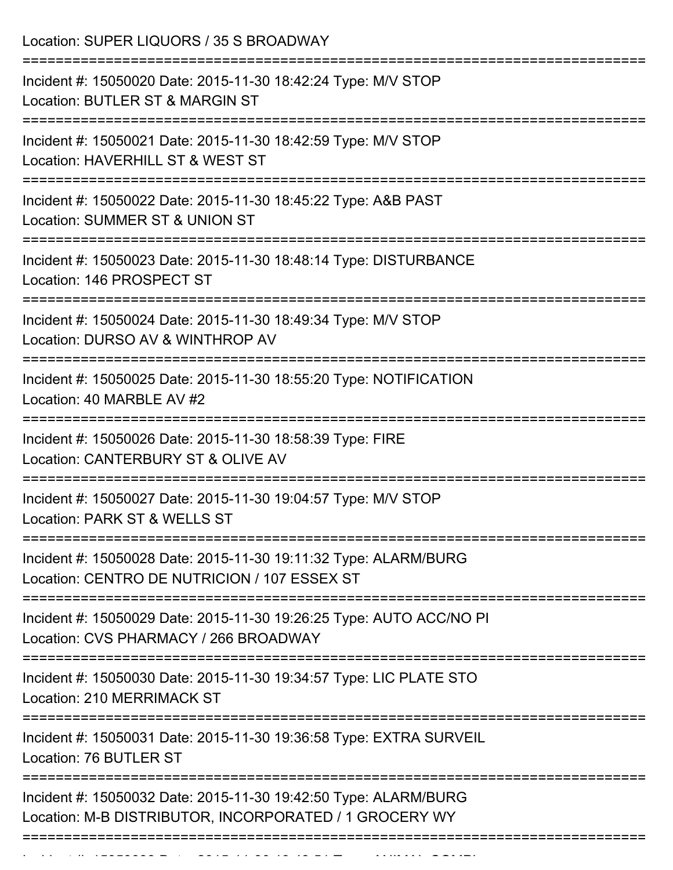Location: SUPER LIQUORS / 35 S BROADWAY =========================================================================== Incident #: 15050020 Date: 2015-11-30 18:42:24 Type: M/V STOP Location: BUTLER ST & MARGIN ST =========================================================================== Incident #: 15050021 Date: 2015-11-30 18:42:59 Type: M/V STOP Location: HAVERHILL ST & WEST ST =========================================================================== Incident #: 15050022 Date: 2015-11-30 18:45:22 Type: A&B PAST Location: SUMMER ST & UNION ST =========================================================================== Incident #: 15050023 Date: 2015-11-30 18:48:14 Type: DISTURBANCE Location: 146 PROSPECT ST =========================================================================== Incident #: 15050024 Date: 2015-11-30 18:49:34 Type: M/V STOP Location: DURSO AV & WINTHROP AV =========================================================================== Incident #: 15050025 Date: 2015-11-30 18:55:20 Type: NOTIFICATION Location: 40 MARBLE AV #2 =========================================================================== Incident #: 15050026 Date: 2015-11-30 18:58:39 Type: FIRE Location: CANTERBURY ST & OLIVE AV =========================================================================== Incident #: 15050027 Date: 2015-11-30 19:04:57 Type: M/V STOP Location: PARK ST & WELLS ST =========================================================================== Incident #: 15050028 Date: 2015-11-30 19:11:32 Type: ALARM/BURG Location: CENTRO DE NUTRICION / 107 ESSEX ST =========================================================================== Incident #: 15050029 Date: 2015-11-30 19:26:25 Type: AUTO ACC/NO PI Location: CVS PHARMACY / 266 BROADWAY =========================================================================== Incident #: 15050030 Date: 2015-11-30 19:34:57 Type: LIC PLATE STO Location: 210 MERRIMACK ST =========================================================================== Incident #: 15050031 Date: 2015-11-30 19:36:58 Type: EXTRA SURVEIL Location: 76 BUTLER ST =========================================================================== Incident #: 15050032 Date: 2015-11-30 19:42:50 Type: ALARM/BURG Location: M-B DISTRIBUTOR, INCORPORATED / 1 GROCERY WY ===========================================================================

Incident #: 15050033 Date: 2015 11 30 19:43:51 Type: ANIMAL COMPL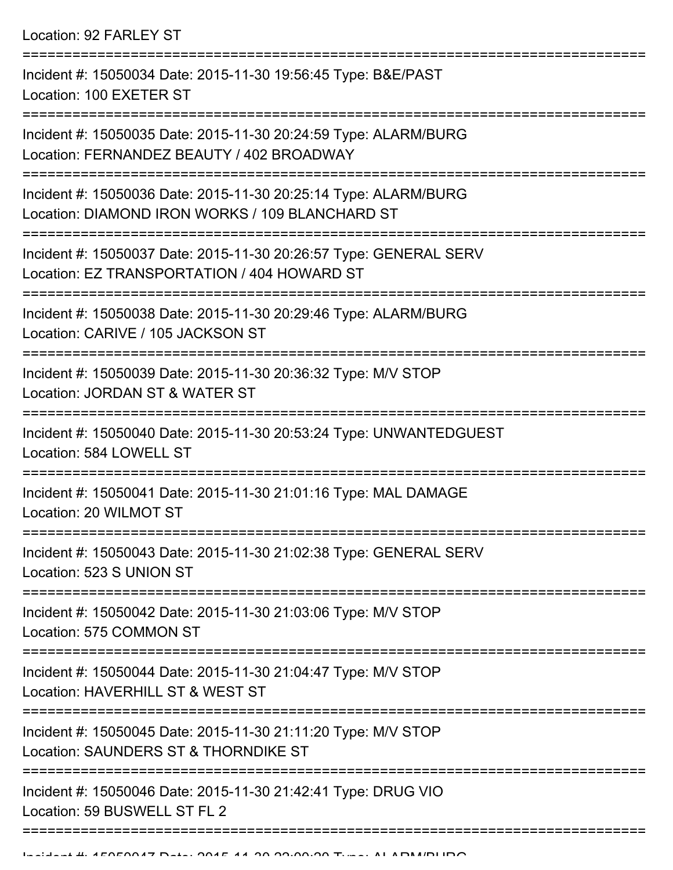Location: 92 FARLEY ST

=========================================================================== Incident #: 15050034 Date: 2015-11-30 19:56:45 Type: B&E/PAST Location: 100 EXETER ST =========================================================================== Incident #: 15050035 Date: 2015-11-30 20:24:59 Type: ALARM/BURG Location: FERNANDEZ BEAUTY / 402 BROADWAY =========================================================================== Incident #: 15050036 Date: 2015-11-30 20:25:14 Type: ALARM/BURG Location: DIAMOND IRON WORKS / 109 BLANCHARD ST =========================================================================== Incident #: 15050037 Date: 2015-11-30 20:26:57 Type: GENERAL SERV Location: EZ TRANSPORTATION / 404 HOWARD ST =========================================================================== Incident #: 15050038 Date: 2015-11-30 20:29:46 Type: ALARM/BURG Location: CARIVE / 105 JACKSON ST =========================================================================== Incident #: 15050039 Date: 2015-11-30 20:36:32 Type: M/V STOP Location: JORDAN ST & WATER ST =========================================================================== Incident #: 15050040 Date: 2015-11-30 20:53:24 Type: UNWANTEDGUEST Location: 584 LOWELL ST =========================================================================== Incident #: 15050041 Date: 2015-11-30 21:01:16 Type: MAL DAMAGE Location: 20 WILMOT ST =========================================================================== Incident #: 15050043 Date: 2015-11-30 21:02:38 Type: GENERAL SERV Location: 523 S UNION ST =========================================================================== Incident #: 15050042 Date: 2015-11-30 21:03:06 Type: M/V STOP Location: 575 COMMON ST =========================================================================== Incident #: 15050044 Date: 2015-11-30 21:04:47 Type: M/V STOP Location: HAVERHILL ST & WEST ST =========================================================================== Incident #: 15050045 Date: 2015-11-30 21:11:20 Type: M/V STOP Location: SAUNDERS ST & THORNDIKE ST =========================================================================== Incident #: 15050046 Date: 2015-11-30 21:42:41 Type: DRUG VIO Location: 59 BUSWELL ST FL 2 ===========================================================================